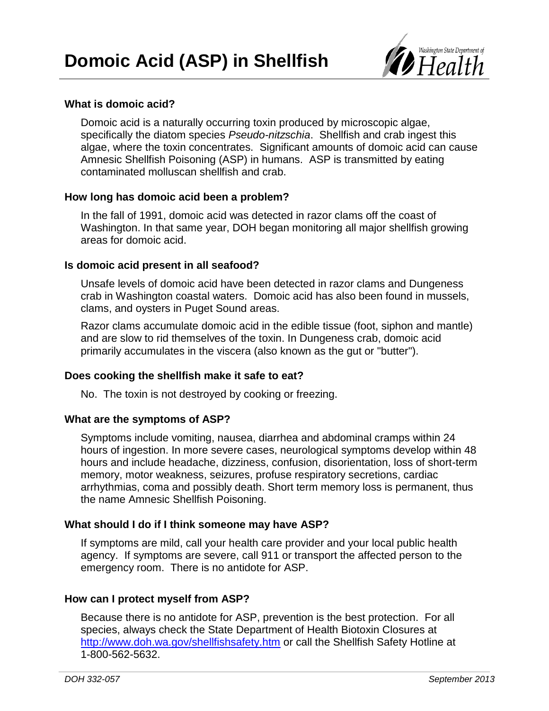

## **What is domoic acid?**

Domoic acid is a naturally occurring toxin produced by microscopic algae, specifically the diatom species *Pseudo-nitzschia*. Shellfish and crab ingest this algae, where the toxin concentrates. Significant amounts of domoic acid can cause Amnesic Shellfish Poisoning (ASP) in humans. ASP is transmitted by eating contaminated molluscan shellfish and crab.

#### **How long has domoic acid been a problem?**

In the fall of 1991, domoic acid was detected in razor clams off the coast of Washington. In that same year, DOH began monitoring all major shellfish growing areas for domoic acid.

#### **Is domoic acid present in all seafood?**

Unsafe levels of domoic acid have been detected in razor clams and Dungeness crab in Washington coastal waters. Domoic acid has also been found in mussels, clams, and oysters in Puget Sound areas.

Razor clams accumulate domoic acid in the edible tissue (foot, siphon and mantle) and are slow to rid themselves of the toxin. In Dungeness crab, domoic acid primarily accumulates in the viscera (also known as the gut or "butter").

## **Does cooking the shellfish make it safe to eat?**

No. The toxin is not destroyed by cooking or freezing.

### **What are the symptoms of ASP?**

Symptoms include vomiting, nausea, diarrhea and abdominal cramps within 24 hours of ingestion. In more severe cases, neurological symptoms develop within 48 hours and include headache, dizziness, confusion, disorientation, loss of short-term memory, motor weakness, seizures, profuse respiratory secretions, cardiac arrhythmias, coma and possibly death. Short term memory loss is permanent, thus the name Amnesic Shellfish Poisoning.

## **What should I do if I think someone may have ASP?**

If symptoms are mild, call your health care provider and your local public health agency. If symptoms are severe, call 911 or transport the affected person to the emergency room. There is no antidote for ASP.

## **How can I protect myself from ASP?**

Because there is no antidote for ASP, prevention is the best protection. For all species, always check the State Department of Health Biotoxin Closures at <http://www.doh.wa.gov/shellfishsafety.htm> or call the Shellfish Safety Hotline at 1-800-562-5632.